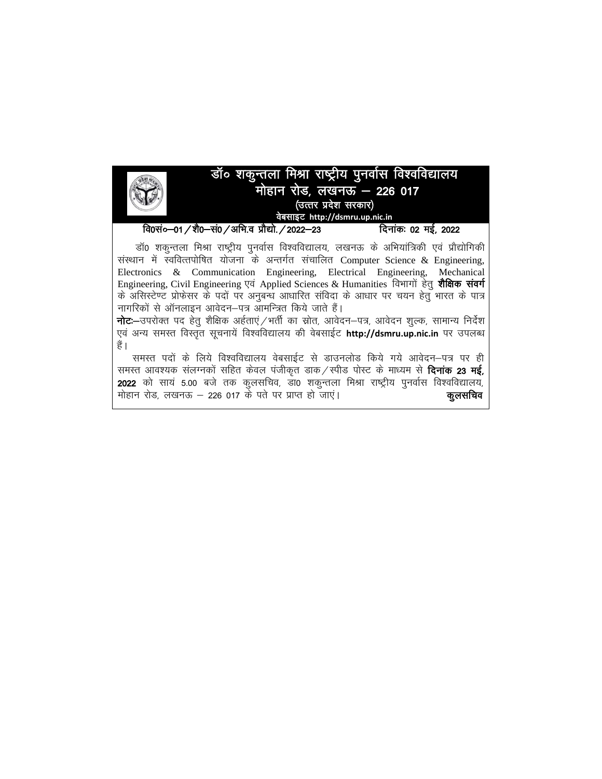

डॉ0 शकुन्तला मिश्रा राष्ट्रीय पुनर्वास विश्वविद्यालय, लखनऊ के अभियांत्रिकी एवं प्रौद्योगिकी संस्थान में स्ववित्तपोषित योजना के अन्तर्गत संचालित Computer Science & Engineering, Electronics & Communication Engineering, Electrical Engineering, Mechanical Engineering, Civil Engineering एवं Applied Sciences & Humanities विभागों हेतू शैक्षिक संवर्ग के असिस्टेण्ट प्रोफेसर के पदों पर अनुबन्ध आधारित संविदा के आधार पर चयन हेतु भारत के पात्र नागरिकों से ऑनलाइन आवेदन–पत्र आमन्त्रित किये जाते हैं।

**नोट:**—उपरोक्त पद हेत् शैक्षिक अर्हताएं / भर्ती का स्रोत, आवेदन—पत्र, आवेदन शुल्क, सामान्य निर्देश एवं अन्य समस्त विस्तृत सूचनायें विश्वविद्यालय की वेबसाईट http://dsmru.up.nic.in पर उपलब्ध हैं |

समस्त पदों के लिये विश्वविद्यालय वेबसाईट से डाउनलोड किये गये आवेदन–पत्र पर ही समस्त आवश्यक संलग्नकों सहित केवल पंजीकृत डाक / स्पीड पोस्ट के माध्यम से **दिनांक 23 मई,** 2022 को साय 5.00 बजे तक कुलसचिव, डा0 शकुन्तला मिश्रा राष्ट्रीय पुनर्वास विश्वविद्यालय, मोहान रोड, लखनऊ – 226 017 के पते पर प्राप्त हो जाएं। कूलसचिव